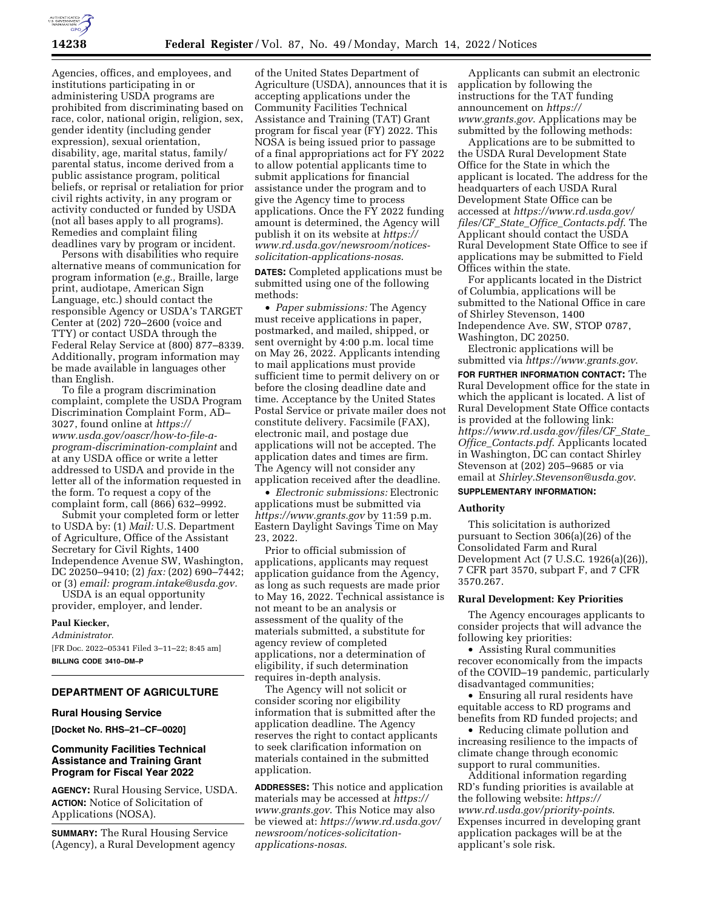

Agencies, offices, and employees, and institutions participating in or administering USDA programs are prohibited from discriminating based on race, color, national origin, religion, sex, gender identity (including gender expression), sexual orientation, disability, age, marital status, family/ parental status, income derived from a public assistance program, political beliefs, or reprisal or retaliation for prior civil rights activity, in any program or activity conducted or funded by USDA (not all bases apply to all programs). Remedies and complaint filing deadlines vary by program or incident.

Persons with disabilities who require alternative means of communication for program information (*e.g.,* Braille, large print, audiotape, American Sign Language, etc.) should contact the responsible Agency or USDA's TARGET Center at (202) 720–2600 (voice and TTY) or contact USDA through the Federal Relay Service at (800) 877–8339. Additionally, program information may be made available in languages other than English.

To file a program discrimination complaint, complete the USDA Program Discrimination Complaint Form, AD– 3027, found online at *[https://](https://www.usda.gov/oascr/how-to-file-a-program-discrimination-complaint) [www.usda.gov/oascr/how-to-file-a](https://www.usda.gov/oascr/how-to-file-a-program-discrimination-complaint)[program-discrimination-complaint](https://www.usda.gov/oascr/how-to-file-a-program-discrimination-complaint)* and at any USDA office or write a letter addressed to USDA and provide in the letter all of the information requested in the form. To request a copy of the complaint form, call (866) 632–9992.

Submit your completed form or letter to USDA by: (1) *Mail:* U.S. Department of Agriculture, Office of the Assistant Secretary for Civil Rights, 1400 Independence Avenue SW, Washington, DC 20250–9410; (2) *fax:* (202) 690–7442; or (3) *email: [program.intake@usda.gov.](mailto:program.intake@usda.gov)* 

USDA is an equal opportunity provider, employer, and lender.

# **Paul Kiecker,**

# *Administrator.*

[FR Doc. 2022–05341 Filed 3–11–22; 8:45 am] **BILLING CODE 3410–DM–P** 

# **DEPARTMENT OF AGRICULTURE**

### **Rural Housing Service**

**[Docket No. RHS–21–CF–0020]** 

# **Community Facilities Technical Assistance and Training Grant Program for Fiscal Year 2022**

**AGENCY:** Rural Housing Service, USDA. **ACTION:** Notice of Solicitation of Applications (NOSA).

**SUMMARY:** The Rural Housing Service (Agency), a Rural Development agency

of the United States Department of Agriculture (USDA), announces that it is accepting applications under the Community Facilities Technical Assistance and Training (TAT) Grant program for fiscal year (FY) 2022. This NOSA is being issued prior to passage of a final appropriations act for FY 2022 to allow potential applicants time to submit applications for financial assistance under the program and to give the Agency time to process applications. Once the FY 2022 funding amount is determined, the Agency will publish it on its website at *[https://](https://www.rd.usda.gov/newsroom/notices-solicitation-applications-nosas) [www.rd.usda.gov/newsroom/notices](https://www.rd.usda.gov/newsroom/notices-solicitation-applications-nosas)[solicitation-applications-nosas](https://www.rd.usda.gov/newsroom/notices-solicitation-applications-nosas)*.

**DATES:** Completed applications must be submitted using one of the following methods:

• *Paper submissions:* The Agency must receive applications in paper, postmarked, and mailed, shipped, or sent overnight by 4:00 p.m. local time on May 26, 2022. Applicants intending to mail applications must provide sufficient time to permit delivery on or before the closing deadline date and time. Acceptance by the United States Postal Service or private mailer does not constitute delivery. Facsimile (FAX), electronic mail, and postage due applications will not be accepted. The application dates and times are firm. The Agency will not consider any application received after the deadline.

• *Electronic submissions:* Electronic applications must be submitted via *<https://www.grants.gov>*by 11:59 p.m. Eastern Daylight Savings Time on May 23, 2022.

Prior to official submission of applications, applicants may request application guidance from the Agency, as long as such requests are made prior to May 16, 2022. Technical assistance is not meant to be an analysis or assessment of the quality of the materials submitted, a substitute for agency review of completed applications, nor a determination of eligibility, if such determination requires in-depth analysis.

The Agency will not solicit or consider scoring nor eligibility information that is submitted after the application deadline. The Agency reserves the right to contact applicants to seek clarification information on materials contained in the submitted application.

**ADDRESSES:** This notice and application materials may be accessed at *[https://](https://www.grants.gov) [www.grants.gov](https://www.grants.gov)*. This Notice may also be viewed at: *[https://www.rd.usda.gov/](https://www.rd.usda.gov/newsroom/notices-solicitation-applications-nosas) [newsroom/notices-solicitation](https://www.rd.usda.gov/newsroom/notices-solicitation-applications-nosas)[applications-nosas](https://www.rd.usda.gov/newsroom/notices-solicitation-applications-nosas)*.

Applicants can submit an electronic application by following the instructions for the TAT funding announcement on *[https://](https://www.grants.gov) [www.grants.gov](https://www.grants.gov)*. Applications may be submitted by the following methods:

Applications are to be submitted to the USDA Rural Development State Office for the State in which the applicant is located. The address for the headquarters of each USDA Rural Development State Office can be accessed at *[https://www.rd.usda.gov/](https://www.rd.usda.gov/files/CF_State_Office_Contacts.pdf)  files/CF*\_*State*\_*Office*\_*[Contacts.pdf](https://www.rd.usda.gov/files/CF_State_Office_Contacts.pdf)*. The Applicant should contact the USDA Rural Development State Office to see if applications may be submitted to Field Offices within the state.

For applicants located in the District of Columbia, applications will be submitted to the National Office in care of Shirley Stevenson, 1400 Independence Ave. SW, STOP 0787, Washington, DC 20250.

Electronic applications will be submitted via *<https://www.grants.gov>*.

**FOR FURTHER INFORMATION CONTACT:** The Rural Development office for the state in which the applicant is located. A list of Rural Development State Office contacts is provided at the following link: *[https://www.rd.usda.gov/files/CF](https://www.rd.usda.gov/files/CF_State_Office_Contacts.pdf)*\_*State*\_ *Office*\_*[Contacts.pdf](https://www.rd.usda.gov/files/CF_State_Office_Contacts.pdf)*. Applicants located in Washington, DC can contact Shirley Stevenson at (202) 205–9685 or via email at *[Shirley.Stevenson@usda.gov](mailto:Shirley.Stevenson@usda.gov)*.

# **SUPPLEMENTARY INFORMATION:**

# **Authority**

This solicitation is authorized pursuant to Section 306(a)(26) of the Consolidated Farm and Rural Development Act (7 U.S.C. 1926(a)(26)), 7 CFR part 3570, subpart F, and 7 CFR 3570.267.

### **Rural Development: Key Priorities**

The Agency encourages applicants to consider projects that will advance the following key priorities:

• Assisting Rural communities recover economically from the impacts of the COVID–19 pandemic, particularly disadvantaged communities;

• Ensuring all rural residents have equitable access to RD programs and benefits from RD funded projects; and

• Reducing climate pollution and increasing resilience to the impacts of climate change through economic support to rural communities.

Additional information regarding RD's funding priorities is available at the following website: *[https://](https://www.rd.usda.gov/priority-points) [www.rd.usda.gov/priority-points](https://www.rd.usda.gov/priority-points)*. Expenses incurred in developing grant application packages will be at the applicant's sole risk.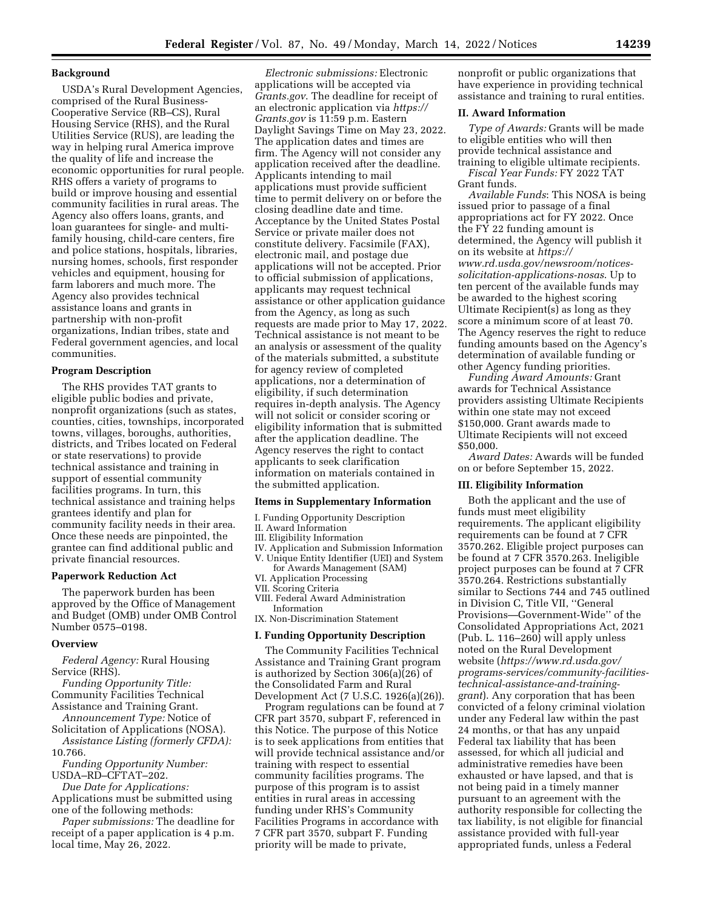### **Background**

USDA's Rural Development Agencies, comprised of the Rural Business-Cooperative Service (RB–CS), Rural Housing Service (RHS), and the Rural Utilities Service (RUS), are leading the way in helping rural America improve the quality of life and increase the economic opportunities for rural people. RHS offers a variety of programs to build or improve housing and essential community facilities in rural areas. The Agency also offers loans, grants, and loan guarantees for single- and multifamily housing, child-care centers, fire and police stations, hospitals, libraries, nursing homes, schools, first responder vehicles and equipment, housing for farm laborers and much more. The Agency also provides technical assistance loans and grants in partnership with non-profit organizations, Indian tribes, state and Federal government agencies, and local communities.

### **Program Description**

The RHS provides TAT grants to eligible public bodies and private, nonprofit organizations (such as states, counties, cities, townships, incorporated towns, villages, boroughs, authorities, districts, and Tribes located on Federal or state reservations) to provide technical assistance and training in support of essential community facilities programs. In turn, this technical assistance and training helps grantees identify and plan for community facility needs in their area. Once these needs are pinpointed, the grantee can find additional public and private financial resources.

#### **Paperwork Reduction Act**

The paperwork burden has been approved by the Office of Management and Budget (OMB) under OMB Control Number 0575–0198.

#### **Overview**

*Federal Agency:* Rural Housing Service (RHS).

*Funding Opportunity Title:*  Community Facilities Technical Assistance and Training Grant.

*Announcement Type:* Notice of Solicitation of Applications (NOSA).

*Assistance Listing (formerly CFDA):*  10.766.

*Funding Opportunity Number:*  USDA–RD–CFTAT–202.

*Due Date for Applications:*  Applications must be submitted using one of the following methods:

*Paper submissions:* The deadline for receipt of a paper application is 4 p.m. local time, May 26, 2022.

*Electronic submissions:* Electronic applications will be accepted via *Grants.gov*. The deadline for receipt of an electronic application via *[https://](https://Grants.gov) [Grants.gov](https://Grants.gov)* is 11:59 p.m. Eastern Daylight Savings Time on May 23, 2022. The application dates and times are firm. The Agency will not consider any application received after the deadline. Applicants intending to mail applications must provide sufficient time to permit delivery on or before the closing deadline date and time. Acceptance by the United States Postal Service or private mailer does not constitute delivery. Facsimile (FAX), electronic mail, and postage due applications will not be accepted. Prior to official submission of applications, applicants may request technical assistance or other application guidance from the Agency, as long as such requests are made prior to May 17, 2022. Technical assistance is not meant to be an analysis or assessment of the quality of the materials submitted, a substitute for agency review of completed applications, nor a determination of eligibility, if such determination requires in-depth analysis. The Agency will not solicit or consider scoring or eligibility information that is submitted after the application deadline. The Agency reserves the right to contact applicants to seek clarification information on materials contained in the submitted application.

#### **Items in Supplementary Information**

- I. Funding Opportunity Description
- II. Award Information
- III. Eligibility Information
- IV. Application and Submission Information V. Unique Entity Identifier (UEI) and System
- for Awards Management (SAM)
- VI. Application Processing
- VII. Scoring Criteria
- VIII. Federal Award Administration Information

IX. Non-Discrimination Statement

# **I. Funding Opportunity Description**

The Community Facilities Technical Assistance and Training Grant program is authorized by Section 306(a)(26) of the Consolidated Farm and Rural Development Act (7 U.S.C. 1926(a)(26)).

Program regulations can be found at 7 CFR part 3570, subpart F, referenced in this Notice. The purpose of this Notice is to seek applications from entities that will provide technical assistance and/or training with respect to essential community facilities programs. The purpose of this program is to assist entities in rural areas in accessing funding under RHS's Community Facilities Programs in accordance with 7 CFR part 3570, subpart F. Funding priority will be made to private,

nonprofit or public organizations that have experience in providing technical assistance and training to rural entities.

### **II. Award Information**

*Type of Awards:* Grants will be made to eligible entities who will then provide technical assistance and training to eligible ultimate recipients. *Fiscal Year Funds:* FY 2022 TAT Grant funds.

*Available Funds*: This NOSA is being issued prior to passage of a final appropriations act for FY 2022. Once the FY 22 funding amount is determined, the Agency will publish it on its website at *[https://](https://www.rd.usda.gov/newsroom/notices-solicitation-applications-nosas) [www.rd.usda.gov/newsroom/notices](https://www.rd.usda.gov/newsroom/notices-solicitation-applications-nosas)[solicitation-applications-nosas](https://www.rd.usda.gov/newsroom/notices-solicitation-applications-nosas)*. Up to ten percent of the available funds may be awarded to the highest scoring Ultimate Recipient(s) as long as they score a minimum score of at least 70. The Agency reserves the right to reduce funding amounts based on the Agency's determination of available funding or other Agency funding priorities.

*Funding Award Amounts:* Grant awards for Technical Assistance providers assisting Ultimate Recipients within one state may not exceed \$150,000. Grant awards made to Ultimate Recipients will not exceed \$50,000.

*Award Dates:* Awards will be funded on or before September 15, 2022.

### **III. Eligibility Information**

Both the applicant and the use of funds must meet eligibility requirements. The applicant eligibility requirements can be found at 7 CFR 3570.262. Eligible project purposes can be found at 7 CFR 3570.263. Ineligible project purposes can be found at 7 CFR 3570.264. Restrictions substantially similar to Sections 744 and 745 outlined in Division C, Title VII, ''General Provisions—Government-Wide'' of the Consolidated Appropriations Act, 2021 (Pub. L. 116–260) will apply unless noted on the Rural Development website (*[https://www.rd.usda.gov/](https://www.rd.usda.gov/programs-services/community-facilities-technical-assistance-and-training-grant)  [programs-services/community-facilities](https://www.rd.usda.gov/programs-services/community-facilities-technical-assistance-and-training-grant)[technical-assistance-and-training](https://www.rd.usda.gov/programs-services/community-facilities-technical-assistance-and-training-grant)[grant](https://www.rd.usda.gov/programs-services/community-facilities-technical-assistance-and-training-grant)*). Any corporation that has been convicted of a felony criminal violation under any Federal law within the past 24 months, or that has any unpaid Federal tax liability that has been assessed, for which all judicial and administrative remedies have been exhausted or have lapsed, and that is not being paid in a timely manner pursuant to an agreement with the authority responsible for collecting the tax liability, is not eligible for financial assistance provided with full-year appropriated funds, unless a Federal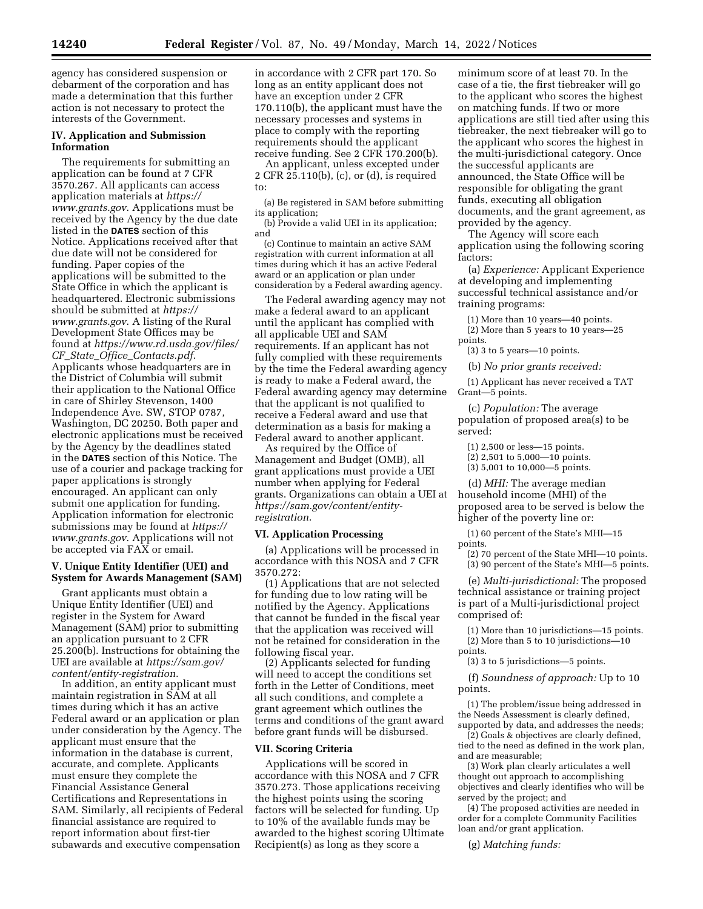agency has considered suspension or debarment of the corporation and has made a determination that this further action is not necessary to protect the interests of the Government.

## **IV. Application and Submission Information**

The requirements for submitting an application can be found at 7 CFR 3570.267. All applicants can access application materials at *[https://](https://www.grants.gov) [www.grants.gov](https://www.grants.gov)*. Applications must be received by the Agency by the due date listed in the **DATES** section of this Notice. Applications received after that due date will not be considered for funding. Paper copies of the applications will be submitted to the State Office in which the applicant is headquartered. Electronic submissions should be submitted at *[https://](https://www.grants.gov) [www.grants.gov](https://www.grants.gov)*. A listing of the Rural Development State Offices may be found at *[https://www.rd.usda.gov/files/](https://www.rd.usda.gov/files/CF_State_Office_Contacts.pdf)  CF*\_*State*\_*Office*\_*[Contacts.pdf](https://www.rd.usda.gov/files/CF_State_Office_Contacts.pdf)*. Applicants whose headquarters are in the District of Columbia will submit their application to the National Office in care of Shirley Stevenson, 1400 Independence Ave. SW, STOP 0787, Washington, DC 20250. Both paper and electronic applications must be received by the Agency by the deadlines stated in the **DATES** section of this Notice. The use of a courier and package tracking for paper applications is strongly encouraged. An applicant can only submit one application for funding. Application information for electronic submissions may be found at *[https://](https://www.grants.gov) [www.grants.gov](https://www.grants.gov)*. Applications will not be accepted via FAX or email.

## **V. Unique Entity Identifier (UEI) and System for Awards Management (SAM)**

Grant applicants must obtain a Unique Entity Identifier (UEI) and register in the System for Award Management (SAM) prior to submitting an application pursuant to 2 CFR 25.200(b). Instructions for obtaining the UEI are available at *[https://sam.gov/](https://sam.gov/content/entity-registration) [content/entity-registration](https://sam.gov/content/entity-registration)*.

In addition, an entity applicant must maintain registration in SAM at all times during which it has an active Federal award or an application or plan under consideration by the Agency. The applicant must ensure that the information in the database is current, accurate, and complete. Applicants must ensure they complete the Financial Assistance General Certifications and Representations in SAM. Similarly, all recipients of Federal financial assistance are required to report information about first-tier subawards and executive compensation

in accordance with 2 CFR part 170. So long as an entity applicant does not have an exception under 2 CFR 170.110(b), the applicant must have the necessary processes and systems in place to comply with the reporting requirements should the applicant receive funding. See 2 CFR 170.200(b).

An applicant, unless excepted under 2 CFR 25.110(b), (c), or (d), is required to:

(a) Be registered in SAM before submitting its application;

(b) Provide a valid UEI in its application; and

(c) Continue to maintain an active SAM registration with current information at all times during which it has an active Federal award or an application or plan under consideration by a Federal awarding agency.

The Federal awarding agency may not make a federal award to an applicant until the applicant has complied with all applicable UEI and SAM requirements. If an applicant has not fully complied with these requirements by the time the Federal awarding agency is ready to make a Federal award, the Federal awarding agency may determine that the applicant is not qualified to receive a Federal award and use that determination as a basis for making a Federal award to another applicant.

As required by the Office of Management and Budget (OMB), all grant applications must provide a UEI number when applying for Federal grants. Organizations can obtain a UEI at *[https://sam.gov/content/entity](https://sam.gov/content/entity-registration)[registration](https://sam.gov/content/entity-registration)*.

#### **VI. Application Processing**

(a) Applications will be processed in accordance with this NOSA and 7 CFR 3570.272:

(1) Applications that are not selected for funding due to low rating will be notified by the Agency. Applications that cannot be funded in the fiscal year that the application was received will not be retained for consideration in the following fiscal year.

(2) Applicants selected for funding will need to accept the conditions set forth in the Letter of Conditions, meet all such conditions, and complete a grant agreement which outlines the terms and conditions of the grant award before grant funds will be disbursed.

# **VII. Scoring Criteria**

Applications will be scored in accordance with this NOSA and 7 CFR 3570.273. Those applications receiving the highest points using the scoring factors will be selected for funding. Up to 10% of the available funds may be awarded to the highest scoring Ultimate Recipient(s) as long as they score a

minimum score of at least 70. In the case of a tie, the first tiebreaker will go to the applicant who scores the highest on matching funds. If two or more applications are still tied after using this tiebreaker, the next tiebreaker will go to the applicant who scores the highest in the multi-jurisdictional category. Once the successful applicants are announced, the State Office will be responsible for obligating the grant funds, executing all obligation documents, and the grant agreement, as provided by the agency.

The Agency will score each application using the following scoring factors:

(a) *Experience:* Applicant Experience at developing and implementing successful technical assistance and/or training programs:

(1) More than 10 years—40 points.

(2) More than 5 years to 10 years—25 points.

(3) 3 to 5 years—10 points.

(b) *No prior grants received:* 

(1) Applicant has never received a TAT Grant—5 points.

(c) *Population:* The average population of proposed area(s) to be served:

(1) 2,500 or less—15 points.

- (2) 2,501 to 5,000—10 points.
- (3) 5,001 to 10,000—5 points.

(d) *MHI:* The average median household income (MHI) of the proposed area to be served is below the higher of the poverty line or:

(1) 60 percent of the State's MHI—15 points.

(2) 70 percent of the State MHI—10 points. (3) 90 percent of the State's MHI—5 points.

(e) *Multi-jurisdictional:* The proposed technical assistance or training project is part of a Multi-jurisdictional project comprised of:

(1) More than 10 jurisdictions—15 points. (2) More than 5 to 10 jurisdictions—10 points.

(3) 3 to 5 jurisdictions—5 points.

(f) *Soundness of approach:* Up to 10 points.

(1) The problem/issue being addressed in the Needs Assessment is clearly defined, supported by data, and addresses the needs;

(2) Goals & objectives are clearly defined, tied to the need as defined in the work plan, and are measurable;

(3) Work plan clearly articulates a well thought out approach to accomplishing objectives and clearly identifies who will be served by the project; and

(4) The proposed activities are needed in order for a complete Community Facilities loan and/or grant application.

(g) *Matching funds:*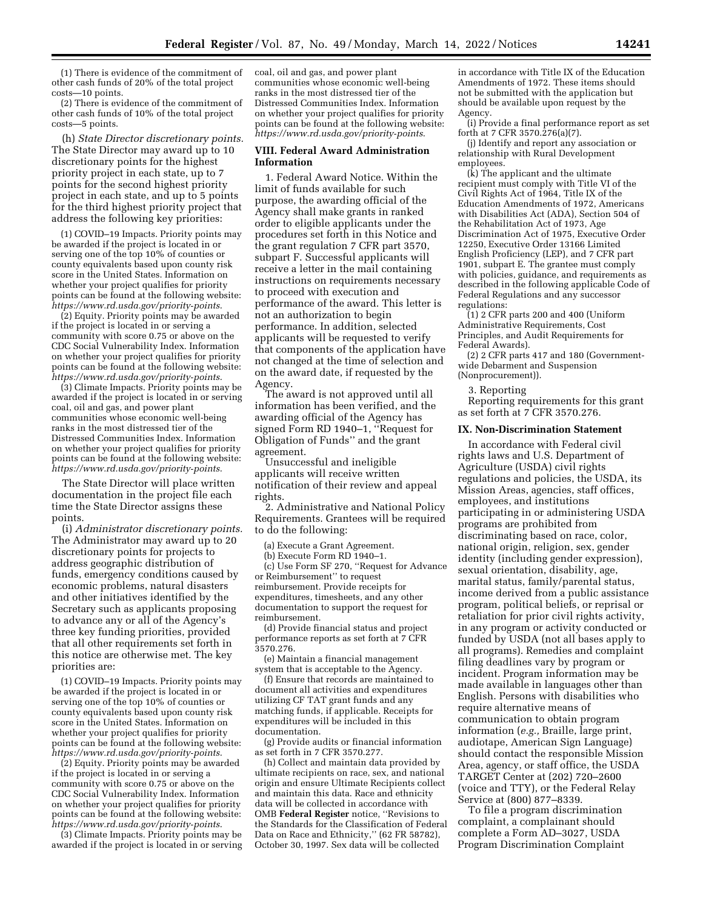(1) There is evidence of the commitment of other cash funds of 20% of the total project costs—10 points.

(2) There is evidence of the commitment of other cash funds of 10% of the total project costs—5 points.

(h) *State Director discretionary points.*  The State Director may award up to 10 discretionary points for the highest priority project in each state, up to 7 points for the second highest priority project in each state, and up to 5 points for the third highest priority project that address the following key priorities:

(1) COVID–19 Impacts. Priority points may be awarded if the project is located in or serving one of the top 10% of counties or county equivalents based upon county risk score in the United States. Information on whether your project qualifies for priority points can be found at the following website: *<https://www.rd.usda.gov/priority-points>*.

(2) Equity. Priority points may be awarded if the project is located in or serving a community with score 0.75 or above on the CDC Social Vulnerability Index. Information on whether your project qualifies for priority points can be found at the following website: *<https://www.rd.usda.gov/priority-points>*.

(3) Climate Impacts. Priority points may be awarded if the project is located in or serving coal, oil and gas, and power plant communities whose economic well-being ranks in the most distressed tier of the Distressed Communities Index. Information on whether your project qualifies for priority points can be found at the following website: *<https://www.rd.usda.gov/priority-points>*.

The State Director will place written documentation in the project file each time the State Director assigns these points.

(i) *Administrator discretionary points.*  The Administrator may award up to 20 discretionary points for projects to address geographic distribution of funds, emergency conditions caused by economic problems, natural disasters and other initiatives identified by the Secretary such as applicants proposing to advance any or all of the Agency's three key funding priorities, provided that all other requirements set forth in this notice are otherwise met. The key priorities are:

(1) COVID–19 Impacts. Priority points may be awarded if the project is located in or serving one of the top 10% of counties or county equivalents based upon county risk score in the United States. Information on whether your project qualifies for priority points can be found at the following website: *<https://www.rd.usda.gov/priority-points>*.

(2) Equity. Priority points may be awarded if the project is located in or serving a community with score 0.75 or above on the CDC Social Vulnerability Index. Information on whether your project qualifies for priority points can be found at the following website: *<https://www.rd.usda.gov/priority-points>*.

(3) Climate Impacts. Priority points may be awarded if the project is located in or serving coal, oil and gas, and power plant communities whose economic well-being ranks in the most distressed tier of the Distressed Communities Index. Information on whether your project qualifies for priority points can be found at the following website: *<https://www.rd.usda.gov/priority-points>*.

### **VIII. Federal Award Administration Information**

1. Federal Award Notice. Within the limit of funds available for such purpose, the awarding official of the Agency shall make grants in ranked order to eligible applicants under the procedures set forth in this Notice and the grant regulation 7 CFR part 3570, subpart F. Successful applicants will receive a letter in the mail containing instructions on requirements necessary to proceed with execution and performance of the award. This letter is not an authorization to begin performance. In addition, selected applicants will be requested to verify that components of the application have not changed at the time of selection and on the award date, if requested by the Agency.

The award is not approved until all information has been verified, and the awarding official of the Agency has signed Form RD 1940–1, ''Request for Obligation of Funds'' and the grant agreement.

Unsuccessful and ineligible applicants will receive written notification of their review and appeal rights.

2. Administrative and National Policy Requirements. Grantees will be required to do the following:

(a) Execute a Grant Agreement.

(b) Execute Form RD 1940–1.

(c) Use Form SF 270, ''Request for Advance or Reimbursement'' to request reimbursement. Provide receipts for expenditures, timesheets, and any other documentation to support the request for reimbursement.

(d) Provide financial status and project performance reports as set forth at 7 CFR 3570.276.

(e) Maintain a financial management system that is acceptable to the Agency.

(f) Ensure that records are maintained to document all activities and expenditures utilizing CF TAT grant funds and any matching funds, if applicable. Receipts for expenditures will be included in this documentation.

(g) Provide audits or financial information as set forth in 7 CFR 3570.277.

(h) Collect and maintain data provided by ultimate recipients on race, sex, and national origin and ensure Ultimate Recipients collect and maintain this data. Race and ethnicity data will be collected in accordance with OMB **Federal Register** notice, ''Revisions to the Standards for the Classification of Federal Data on Race and Ethnicity,'' (62 FR 58782), October 30, 1997. Sex data will be collected

in accordance with Title IX of the Education Amendments of 1972. These items should not be submitted with the application but should be available upon request by the Agency.

(i) Provide a final performance report as set forth at 7 CFR 3570.276(a)(7).

(j) Identify and report any association or relationship with Rural Development employees.

(k) The applicant and the ultimate recipient must comply with Title VI of the Civil Rights Act of 1964, Title IX of the Education Amendments of 1972, Americans with Disabilities Act (ADA), Section 504 of the Rehabilitation Act of 1973, Age Discrimination Act of 1975, Executive Order 12250, Executive Order 13166 Limited English Proficiency (LEP), and 7 CFR part 1901, subpart E. The grantee must comply with policies, guidance, and requirements as described in the following applicable Code of Federal Regulations and any successor regulations:

 $(1)$  2 CFR parts 200 and 400 (Uniform Administrative Requirements, Cost Principles, and Audit Requirements for Federal Awards).

(2) 2 CFR parts 417 and 180 (Governmentwide Debarment and Suspension (Nonprocurement)).

3. Reporting

Reporting requirements for this grant as set forth at 7 CFR 3570.276.

#### **IX. Non-Discrimination Statement**

In accordance with Federal civil rights laws and U.S. Department of Agriculture (USDA) civil rights regulations and policies, the USDA, its Mission Areas, agencies, staff offices, employees, and institutions participating in or administering USDA programs are prohibited from discriminating based on race, color, national origin, religion, sex, gender identity (including gender expression), sexual orientation, disability, age, marital status, family/parental status, income derived from a public assistance program, political beliefs, or reprisal or retaliation for prior civil rights activity, in any program or activity conducted or funded by USDA (not all bases apply to all programs). Remedies and complaint filing deadlines vary by program or incident. Program information may be made available in languages other than English. Persons with disabilities who require alternative means of communication to obtain program information (*e.g.,* Braille, large print, audiotape, American Sign Language) should contact the responsible Mission Area, agency, or staff office, the USDA TARGET Center at (202) 720–2600 (voice and TTY), or the Federal Relay Service at (800) 877–8339.

To file a program discrimination complaint, a complainant should complete a Form AD–3027, USDA Program Discrimination Complaint